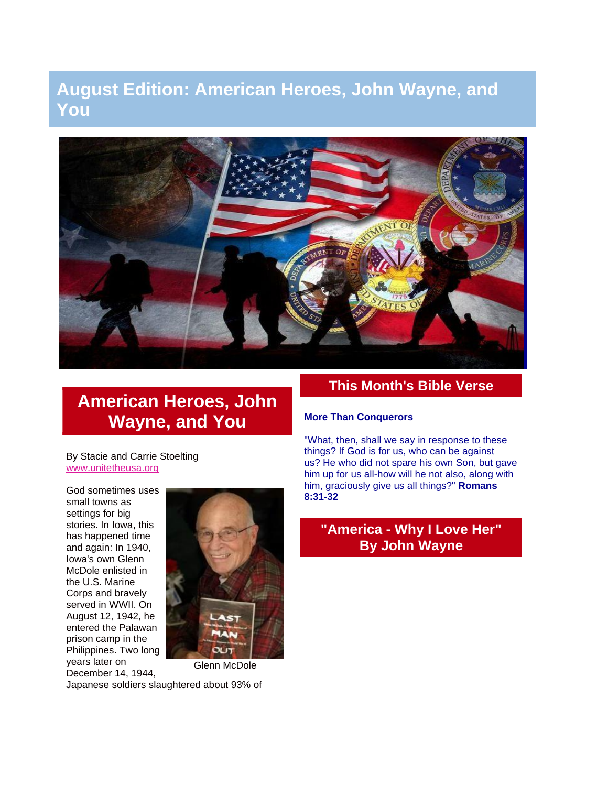# **August Edition: American Heroes, John Wayne, and You**



# **American Heroes, John Wayne, and You**

By Stacie and Carrie Stoelting [www.unitetheusa.org](http://r20.rs6.net/tn.jsp?e=001w1VQkJ12kYr_ZH7h58BnP8BwLrKIHeDEO66bPvVB0QdcqfbFBZsRS-wJ6u0WbbmipkniE31PsjDHVk0DKssvPBgSLOhBrKIzXKr880e5ryU=)

God sometimes uses small towns as settings for big stories. In Iowa, this has happened time and again: In 1940, Iowa's own Glenn McDole enlisted in the U.S. Marine Corps and bravely served in WWII. On August 12, 1942, he entered the Palawan prison camp in the Philippines. Two long years later on December 14, 1944,



Japanese soldiers slaughtered about 93% of

## **This Month's Bible Verse**

#### **More Than Conquerors**

"What, then, shall we say in response to these things? If God is for us, who can be against us? He who did not spare his own Son, but gave him up for us all-how will he not also, along with him, graciously give us all things?" **Romans 8:31-32**

# **"America - Why I Love Her" By John Wayne**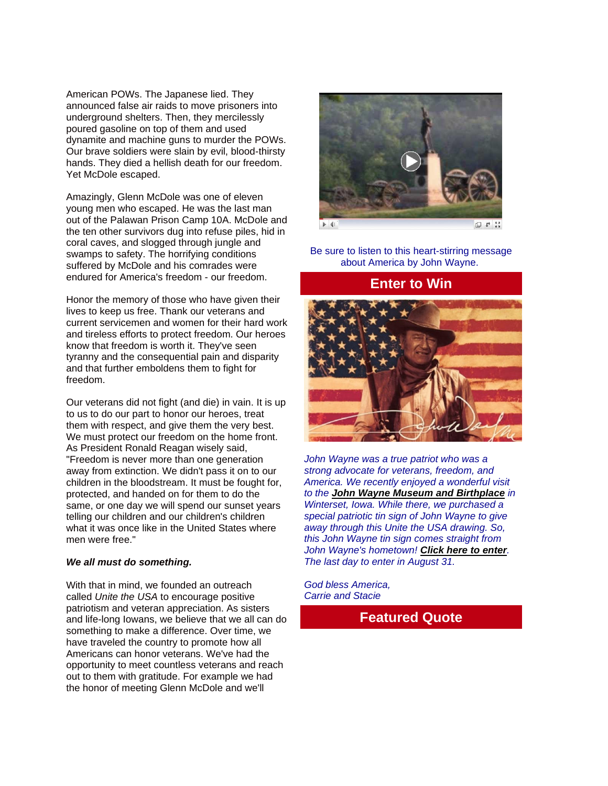American POWs. The Japanese lied. They announced false air raids to move prisoners into underground shelters. Then, they mercilessly poured gasoline on top of them and used dynamite and machine guns to murder the POWs. Our brave soldiers were slain by evil, blood-thirsty hands. They died a hellish death for our freedom. Yet McDole escaped.

Amazingly, Glenn McDole was one of eleven young men who escaped. He was the last man out of the Palawan Prison Camp 10A. McDole and the ten other survivors dug into refuse piles, hid in coral caves, and slogged through jungle and swamps to safety. The horrifying conditions suffered by McDole and his comrades were endured for America's freedom - our freedom.

Honor the memory of those who have given their lives to keep us free. Thank our veterans and current servicemen and women for their hard work and tireless efforts to protect freedom. Our heroes know that freedom is worth it. They've seen tyranny and the consequential pain and disparity and that further emboldens them to fight for freedom.

Our veterans did not fight (and die) in vain. It is up to us to do our part to honor our heroes, treat them with respect, and give them the very best. We must protect our freedom on the home front. As President Ronald Reagan wisely said, "Freedom is never more than one generation away from extinction. We didn't pass it on to our children in the bloodstream. It must be fought for, protected, and handed on for them to do the same, or one day we will spend our sunset years telling our children and our children's children what it was once like in the United States where men were free."

#### *We all must do something.*

With that in mind, we founded an outreach called *Unite the USA* to encourage positive patriotism and veteran appreciation. As sisters and life-long Iowans, we believe that we all can do something to make a difference. Over time, we have traveled the country to promote how all Americans can honor veterans. We've had the opportunity to meet countless veterans and reach out to them with gratitude. For example we had the honor of meeting Glenn McDole and we'll



Be sure to listen to this heart-stirring message about America by John Wayne.

#### **Enter to Win**



*John Wayne was a true patriot who was a strong advocate for veterans, freedom, and America. We recently enjoyed a wonderful visit to the [John Wayne Museum and Birthplace](http://johnwaynebirthplace.museum/) in Winterset, Iowa. While there, we purchased a special patriotic tin sign of John Wayne to give away through this Unite the USA drawing. So, this John Wayne tin sign comes straight from John Wayne's hometown! [Click here to enter](http://unitetheusa.org/id115.html). The last day to enter in August 31.*

*God bless America, Carrie and Stacie*

#### **Featured Quote**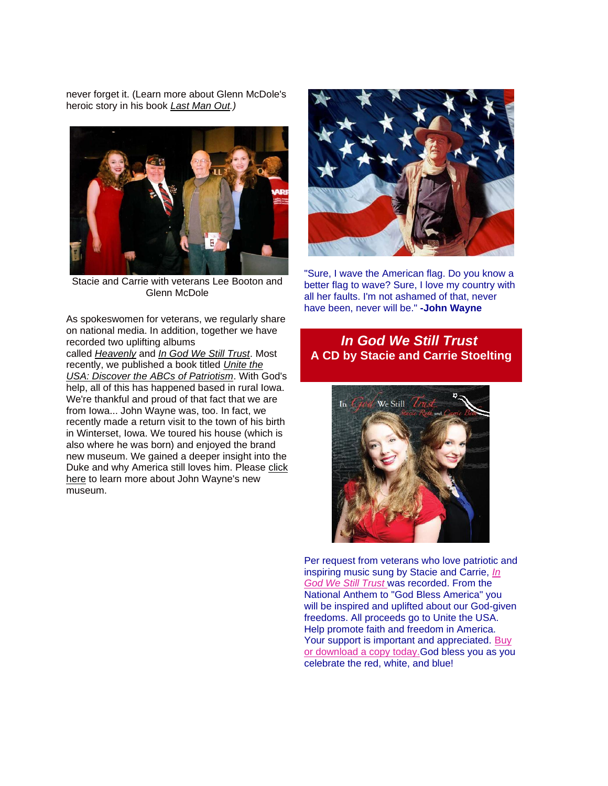never forget it. (Learn more about Glenn McDole's heroic story in his book *[Last Man Out.](http://www.amazon.com/Last-Man-Out-Survivor-Massacre/dp/0786418222))*



Stacie and Carrie with veterans Lee Booton and Glenn McDole

As spokeswomen for veterans, we regularly share on national media. In addition, together we have recorded two uplifting albums

called *[Heavenly](http://unitetheusa.org/id56.html)* and *[In God We Still Trust](http://unitetheusa.org/id56.html)*. Most recently, we published a book titled *[Unite the](http://unitetheusa.org/id56.html)  [USA: Discover the ABCs of Patriotism](http://unitetheusa.org/id56.html)*. With God's help, all of this has happened based in rural Iowa. We're thankful and proud of that fact that we are from Iowa... John Wayne was, too. In fact, we recently made a return visit to the town of his birth in Winterset, Iowa. We toured his house (which is also where he was born) and enjoyed the brand new museum. We gained a deeper insight into the Duke and why America still loves him. Please [click](http://johnwaynebirthplace.museum/)  [here](http://johnwaynebirthplace.museum/) to learn more about John Wayne's new museum.



"Sure, I wave the American flag. Do you know a better flag to wave? Sure, I love my country with all her faults. I'm not ashamed of that, never have been, never will be." **-John Wayne**

#### *In God We Still Trust* **A CD by Stacie and Carrie Stoelting**



Per request from veterans who love patriotic and inspiring music sung by Stacie and Carrie, *[In](http://unitetheusa.org/id56.html)  [God We Still Trust](http://unitetheusa.org/id56.html)* was recorded. From the National Anthem to "God Bless America" you will be inspired and uplifted about our God-given freedoms. All proceeds go to Unite the USA. Help promote faith and freedom in America. Your support is important and appreciated. [Buy](http://unitetheusa.org/id56.html)  [or download a copy today.G](http://unitetheusa.org/id56.html)od bless you as you celebrate the red, white, and blue!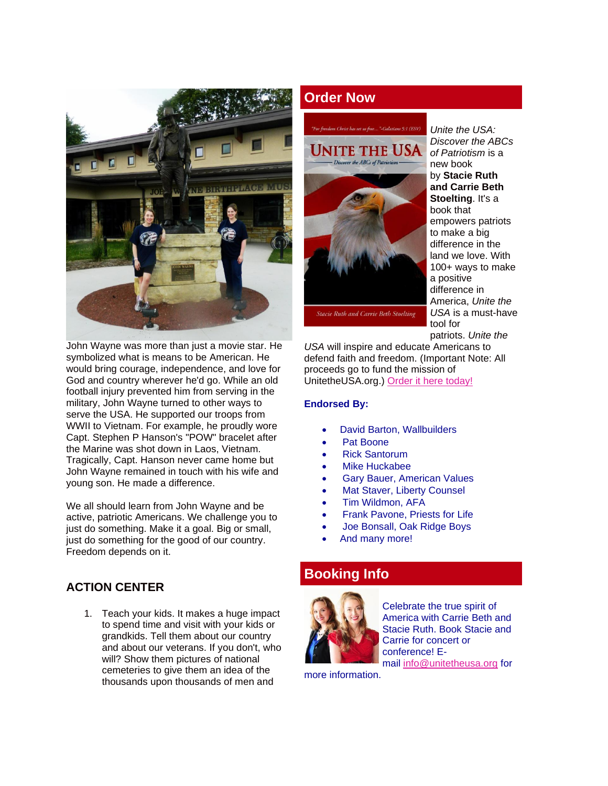

John Wayne was more than just a movie star. He symbolized what is means to be American. He would bring courage, independence, and love for God and country wherever he'd go. While an old football injury prevented him from serving in the military, John Wayne turned to other ways to serve the USA. He supported our troops from WWII to Vietnam. For example, he proudly wore Capt. Stephen P Hanson's "POW" bracelet after the Marine was shot down in Laos, Vietnam. Tragically, Capt. Hanson never came home but John Wayne remained in touch with his wife and young son. He made a difference.

We all should learn from John Wayne and be active, patriotic Americans. We challenge you to just do something. Make it a goal. Big or small, just do something for the good of our country. Freedom depends on it.

#### **ACTION CENTER**

1. Teach your kids. It makes a huge impact to spend time and visit with your kids or grandkids. Tell them about our country and about our veterans. If you don't, who will? Show them pictures of national cemeteries to give them an idea of the thousands upon thousands of men and

# **Order Now**

# Jnite the USA **ABCs** of Patriotis

**Stacie Ruth and Carrie Beth Stoelting** 

*Unite the USA: Discover the ABCs of Patriotism* is a new book by **Stacie Ruth and Carrie Beth Stoelting**. It's a book that empowers patriots to make a big difference in the land we love. With 100+ ways to make a positive difference in America, *Unite the USA* is a must-have tool for patriots. *Unite the* 

*USA* will inspire and educate Americans to defend faith and freedom. (Important Note: All proceeds go to fund the mission of UnitetheUSA.org.) [Order it here today!](http://unitetheusa.org/id56.html)

#### **Endorsed By:**

- David Barton, Wallbuilders
- Pat Boone
- Rick Santorum
- Mike Huckabee
- Gary Bauer, American Values
- **Mat Staver, Liberty Counsel**
- Tim Wildmon, AFA
- Frank Pavone, Priests for Life
- Joe Bonsall, Oak Ridge Boys
- And many more!

## **Booking Info**



Celebrate the true spirit of America with Carrie Beth and Stacie Ruth. Book Stacie and Carrie for concert or conference! Email [info@unitetheusa.org](mailto:info@unitetheusa.org) for

more information.